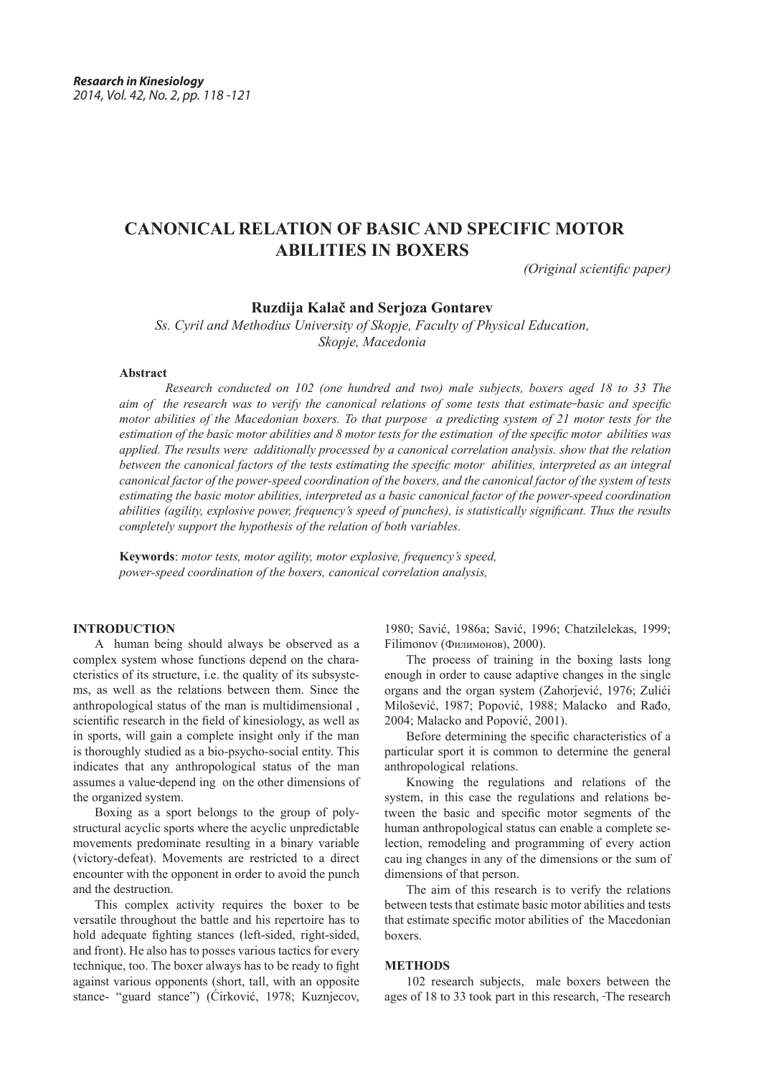# **CANONICAL RELATION OF BASIC AND SPECIFIC MOTOR ABILITIES IN BOXERS**

*(Original scientific paper)*

# **Ruzdija Kalač and Serjoza Gontarev**

*Ss. Cyril and Methodius University of Skopje, Faculty of Physical Education, Skopje, Macedonia*

## **Abstract**

*Research conducted on 102 (one hundred and two) male subjects, boxers aged 18 to 33 The aim of the research was to verify the canonical relations of some tests that estimate-basic and specific motor abilities of the Macedonian boxers. To that purpose a predicting system of 21 motor tests for the estimation of the basic motor abilities and 8 motor tests for the estimation of the specific motor abilities was applied. The results were additionally processed by a canonical correlation analysis. show that the relation between the canonical factors of the tests estimating the specific motor abilities, interpreted as an integral canonical factor of the power-speed coordination of the boxers, and the canonical factor of the system of tests estimating the basic motor abilities, interpreted as a basic canonical factor of the power-speed coordination abilities (agility, explosive power, frequency's speed of punches), is statistically significant. Thus the results completely support the hypothesis of the relation of both variables.* 

**Keywords**: *motor tests, motor agility, motor explosive, frequency's speed, power-speed coordination of the boxers, canonical correlation analysis,*

# **INTRODUCTION**

A human being should always be observed as a complex system whose functions depend on the characteristics of its structure, i.e. the quality of its subsystems, as well as the relations between them. Since the anthropological status of the man is multidimensional , scientific research in the field of kinesiology, as well as in sports, will gain a complete insight only if the man is thoroughly studied as a bio-psycho-social entity. This indicates that any anthropological status of the man assumes a value depend ing on the other dimensions of the organized system.

Boxing as a sport belongs to the group of polystructural acyclic sports where the acyclic unpredictable movements predominate resulting in a binary variable (victory-defeat). Movements are restricted to a direct encounter with the opponent in order to avoid the punch and the destruction.

This complex activity requires the boxer to be versatile throughout the battle and his repertoire has to hold adequate fighting stances (left-sided, right-sided, and front). He also has to posses various tactics for every technique, too. The boxer always has to be ready to fight against various opponents (short, tall, with an opposite stance- "guard stance") (Ćirković, 1978; Kuznjecov,

1980; Savić, 1986a; Savić, 1996; Chatzilelekas, 1999; Filimonov (Филимонов), 2000).

The process of training in the boxing lasts long enough in order to cause adaptive changes in the single organs and the organ system (Zahorjević, 1976; Zulići Milošević, 1987; Popović, 1988; Malacko and Rađo, 2004; Malacko and Popović, 2001).

Before determining the specific characteristics of a particular sport it is common to determine the general anthropological relations.

Knowing the regulations and relations of the system, in this case the regulations and relations between the basic and specific motor segments of the human anthropological status can enable a complete selection, remodeling and programming of every action cau ing changes in any of the dimensions or the sum of dimensions of that person.

The aim of this research is to verify the relations between tests that estimate basic motor abilities and tests that estimate specific motor abilities of the Macedonian boxers.

#### **METHODS**

102 research subjects, male boxers between the ages of 18 to 33 took part in this research, The research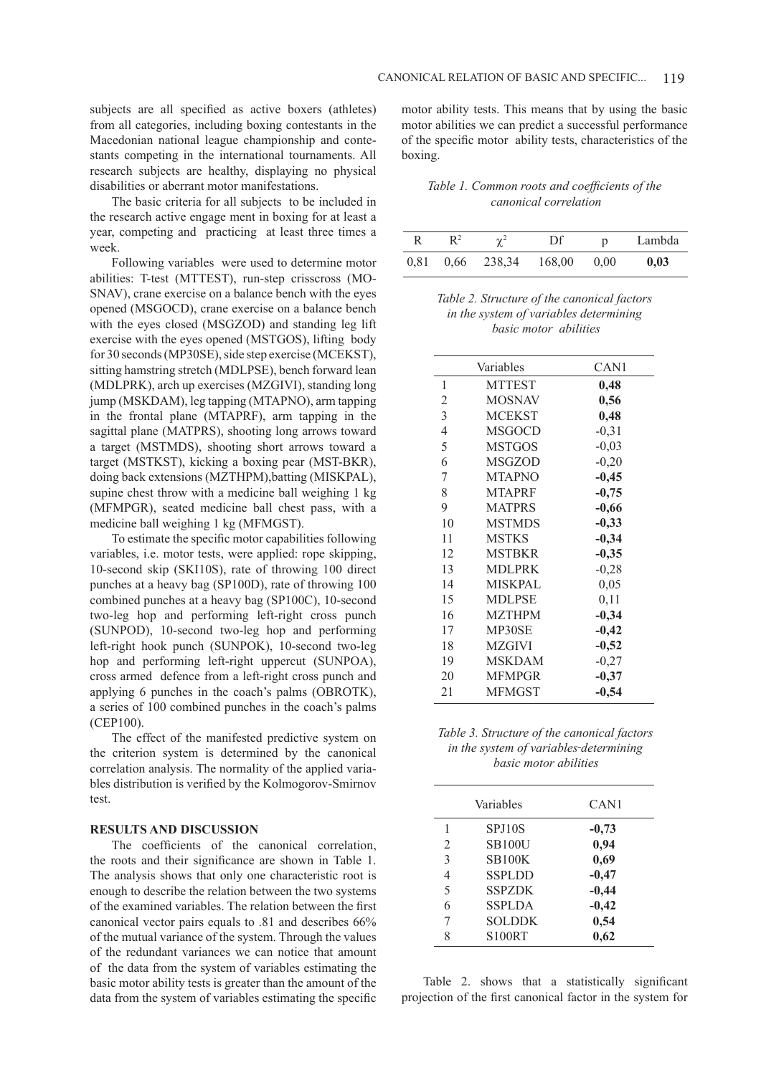subjects are all specified as active boxers (athletes) from all categories, including boxing contestants in the Macedonian national league championship and contestants competing in the international tournaments. All research subjects are healthy, displaying no physical disabilities or aberrant motor manifestations.

The basic criteria for all subjects to be included in the research active engage ment in boxing for at least a year, competing and practicing at least three times a week.

Following variables were used to determine motor abilities: T-test (MTTEST), run-step crisscross (MO-SNAV), crane exercise on a balance bench with the eyes opened (MSGOCD), crane exercise on a balance bench with the eyes closed (MSGZOD) and standing leg lift exercise with the eyes opened (MSTGOS), lifting body for 30 seconds (MP30SE), side step exercise (MCEKST), sitting hamstring stretch (MDLPSE), bench forward lean (MDLPRK), arch up exercises (MZGIVI), standing long jump (MSKDAM), leg tapping (MTAPNO), arm tapping in the frontal plane (MTAPRF), arm tapping in the sagittal plane (MATPRS), shooting long arrows toward a target (MSTMDS), shooting short arrows toward a target (MSTKST), kicking a boxing pear (MST-BKR), doing back extensions (MZTHPM),batting (MISKPAL), supine chest throw with a medicine ball weighing 1 kg (MFMPGR), seated medicine ball chest pass, with a medicine ball weighing 1 kg (MFMGST).

To estimate the specific motor capabilities following variables, i.e. motor tests, were applied: rope skipping, 10-second skip (SKI10S), rate of throwing 100 direct punches at a heavy bag (SP100D), rate of throwing 100 combined punches at a heavy bag (SP100C), 10-second two-leg hop and performing left-right cross punch (SUNPOD), 10-second two-leg hop and performing left-right hook punch (SUNPOK), 10-second two-leg hop and performing left-right uppercut (SUNPOA), cross armed defence from a left-right cross punch and applying 6 punches in the coach's palms (OBROTK), a series of 100 combined punches in the coach's palms (CEP100).

The effect of the manifested predictive system on the criterion system is determined by the canonical correlation analysis. The normality of the applied variables distribution is verified by the Kolmogorov-Smirnov test.

## **RESULTS AND DISCUSSION**

The coefficients of the canonical correlation, the roots and their significance are shown in Table 1. The analysis shows that only one characteristic root is enough to describe the relation between the two systems of the examined variables. The relation between the first canonical vector pairs equals to .81 and describes 66% of the mutual variance of the system. Through the values of the redundant variances we can notice that amount of the data from the system of variables estimating the basic motor ability tests is greater than the amount of the data from the system of variables estimating the specific motor ability tests. This means that by using the basic motor abilities we can predict a successful performance of the specific motor ability tests, characteristics of the boxing.

*Table 1. Common roots and coefficients of the canonical correlation*

| R    | $\mathsf{R}^2$ | $\gamma^2$           | Df | $\mathbf{D}$ | Lambda |
|------|----------------|----------------------|----|--------------|--------|
| 0,81 |                | $0.66$ 238,34 168,00 |    | 0.00         | 0,03   |

*Table 2. Structure of the canonical factors in the system of variables determining basic motor abilities*

|                | Variables      | CAN1    |
|----------------|----------------|---------|
| 1              | <b>MTTEST</b>  | 0,48    |
| 2              | <b>MOSNAV</b>  | 0,56    |
| 3              | <b>MCEKST</b>  | 0,48    |
| $\overline{4}$ | <b>MSGOCD</b>  | $-0,31$ |
| 5              | <b>MSTGOS</b>  | $-0,03$ |
| 6              | <b>MSGZOD</b>  | $-0,20$ |
| 7              | <b>MTAPNO</b>  | $-0,45$ |
| 8              | <b>MTAPRF</b>  | $-0,75$ |
| 9              | <b>MATPRS</b>  | $-0,66$ |
| 10             | <b>MSTMDS</b>  | $-0,33$ |
| 11             | <b>MSTKS</b>   | $-0,34$ |
| 12             | <b>MSTBKR</b>  | $-0,35$ |
| 13             | <b>MDLPRK</b>  | $-0,28$ |
| 14             | <b>MISKPAL</b> | 0,05    |
| 15             | <b>MDLPSE</b>  | 0,11    |
| 16             | <b>MZTHPM</b>  | $-0,34$ |
| 17             | MP30SE         | $-0,42$ |
| 18             | <b>MZGIVI</b>  | $-0,52$ |
| 19             | <b>MSKDAM</b>  | $-0,27$ |
| 20             | <b>MFMPGR</b>  | $-0,37$ |
| 21             | <b>MFMGST</b>  | $-0,54$ |

*Table 3. Structure of the canonical factors in the system of variables determining basic motor abilities*

|                | Variables     | CAN1    |
|----------------|---------------|---------|
| 1              | SPJ10S        | $-0,73$ |
| $\overline{2}$ | <b>SB100U</b> | 0,94    |
| 3              | <b>SB100K</b> | 0,69    |
| $\overline{4}$ | <b>SSPLDD</b> | $-0,47$ |
| 5              | <b>SSPZDK</b> | $-0,44$ |
| 6              | <b>SSPLDA</b> | $-0,42$ |
| 7              | <b>SOLDDK</b> | 0,54    |
| 8              | S100RT        | 0,62    |

Table 2. shows that a statistically significant projection of the first canonical factor in the system for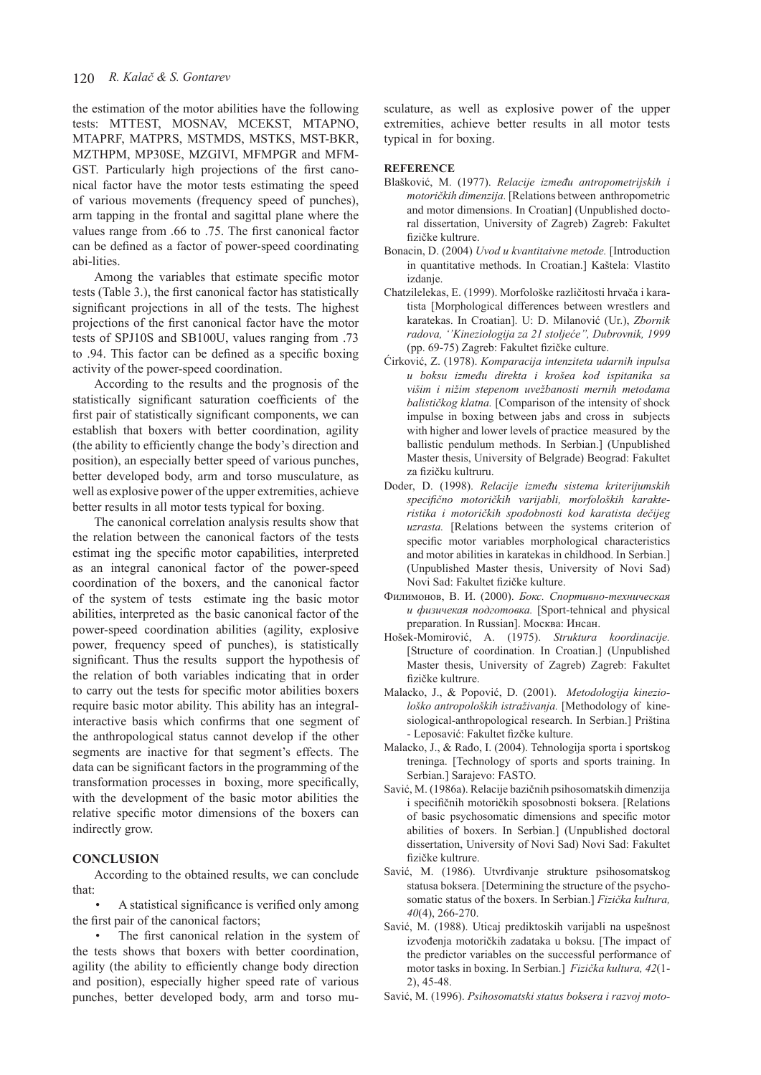the estimation of the motor abilities have the following tests: MTTEST, MOSNAV, MCEKST, MTAPNO, MTAPRF, MATPRS, MSTMDS, MSTKS, MST-BKR, MZTHPM, MP30SE, MZGIVI, MFMPGR and MFM-GST. Particularly high projections of the first canonical factor have the motor tests estimating the speed of various movements (frequency speed of punches), arm tapping in the frontal and sagittal plane where the values range from .66 to .75. The first canonical factor can be defined as a factor of power-speed coordinating abi-lities.

Among the variables that estimate specific motor tests (Table 3.), the first canonical factor has statistically significant projections in all of the tests. The highest projections of the first canonical factor have the motor tests of SPJ10S and SB100U, values ranging from .73 to .94. This factor can be defined as a specific boxing activity of the power-speed coordination.

According to the results and the prognosis of the statistically significant saturation coefficients of the first pair of statistically significant components, we can establish that boxers with better coordination, agility (the ability to efficiently change the body's direction and position), an especially better speed of various punches, better developed body, arm and torso musculature, as well as explosive power of the upper extremities, achieve better results in all motor tests typical for boxing.

The canonical correlation analysis results show that the relation between the canonical factors of the tests estimat ing the specific motor capabilities, interpreted as an integral canonical factor of the power-speed coordination of the boxers, and the canonical factor of the system of tests estimate ing the basic motor abilities, interpreted as the basic canonical factor of the power-speed coordination abilities (agility, explosive power, frequency speed of punches), is statistically significant. Thus the resultssupport the hypothesis of the relation of both variables indicating that in order to carry out the tests for specific motor abilities boxers require basic motor ability. This ability has an integralinteractive basis which confirms that one segment of the anthropological status cannot develop if the other segments are inactive for that segment's effects. The data can be significant factors in the programming of the transformation processes in boxing, more specifically, with the development of the basic motor abilities the relative specific motor dimensions of the boxers can indirectly grow.

## **CONCLUSION**

According to the obtained results, we can conclude that:

• A statistical significance is verified only among the first pair of the canonical factors;

The first canonical relation in the system of the tests shows that boxers with better coordination, agility (the ability to efficiently change body direction and position), especially higher speed rate of various punches, better developed body, arm and torso musculature, as well as explosive power of the upper extremities, achieve better results in all motor tests typical in for boxing.

### **REFERENCE**

- Blašković, M. (1977). *Relacije između antropometrijskih i motoričkih dimenzija.* [Relations between anthropometric and motor dimensions. In Croatian] (Unpublished doctoral dissertation, University of Zagreb) Zagreb: Fakultet fizičke kultrure.
- Bonacin, D. (2004) *Uvod u kvantitaivne metode.* [Introduction in quantitative methods. In Croatian.] Kaštela: Vlastito izdanje.
- Chatzilelekas, E. (1999). Morfološke različitosti hrvača i karatista [Morphological differences between wrestlers and karatekas. In Croatian]. U: D. Milanović (Ur.), *Zbornik radova, ''Kineziologija za 21 stoljeće'', Dubrovnik, 1999* (pp. 69-75) Zagreb: Fakultet fizičke culture.
- Ćirković, Z. (1978). *Komparacija intenziteta udarnih inpulsa u boksu između direkta i krošea kod ispitanika sa višim i nižim stepenom uvežbanosti mernih metodama balističkog klatna.* [Comparison of the intensity of shock impulse in boxing between jabs and cross in subjects with higher and lower levels of practice measured by the ballistic pendulum methods. In Serbian.] (Unpublished Master thesis, University of Belgrade) Beograd: Fakultet za fizičku kultruru.
- Doder, D. (1998). *Relacije između sistema kriterijumskih specifično motoričkih varijabli, morfoloških karakteristika i motoričkih spodobnosti kod karatista dečijeg uzrasta.* [Relations between the systems criterion of specific motor variables morphological characteristics and motor abilities in karatekas in childhood. In Serbian.] (Unpublished Master thesis, University of Novi Sad) Novi Sad: Fakultet fizičke kulture.
- Филимонов, В. И. (2000). *Бокс. Спортивно-техническая и физичекая подготовка.* [Sport-tehnical and physical preparation. In Russian]. Москва: Инсан.
- Hošek-Momirović, A. (1975). *Struktura koordinacije.*  [Structure of coordination. In Croatian.] (Unpublished Master thesis, University of Zagreb) Zagreb: Fakultet fizičke kultrure.
- Malacko, J., & Popović, D. (2001). *Metodologija kineziološko antropoloških istraživanja.* [Methodology of kinesiological-anthropological research. In Serbian.] Priština - Leposavić: Fakultet fizčke kulture.
- Malacko, J., & Rađo, I. (2004). Tehnologija sporta i sportskog treninga. [Technology of sports and sports training. In Serbian.] Sarajevo: FASTO.
- Savić, M. (1986a). Relacije bazičnih psihosomatskih dimenzija i specifičnih motoričkih sposobnosti boksera. [Relations of basic psychosomatic dimensions and specific motor abilities of boxers. In Serbian.] (Unpublished doctoral dissertation, University of Novi Sad) Novi Sad: Fakultet fizičke kultrure.
- Savić, M. (1986). Utvrđivanje strukture psihosomatskog statusa boksera. [Determining the structure of the psychosomatic status of the boxers. In Serbian.] *Fizička kultura, 40*(4), 266-270.
- Savić, M. (1988). Uticaj prediktoskih varijabli na uspešnost izvođenja motoričkih zadataka u boksu. [The impact of the predictor variables on the successful performance of motor tasks in boxing. In Serbian.] *Fizička kultura, 42*(1- 2), 45-48.

Savić, M. (1996). *Psihosomatski status boksera i razvoj moto-*